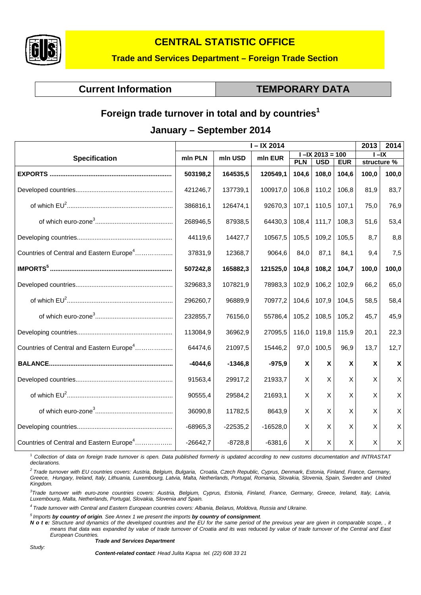

# **CENTRAL STATISTIC OFFICE**

## **Trade and Services Department – Foreign Trade Section**

# **Current Information**  TEMPORARY DATA

# **Foreign trade turnover in total and by countries<sup>1</sup>**

## **January – September 2014**

|                                                      | $I - IX$ 2014 |            |            |                           |                     |            | 2013                      | 2014         |
|------------------------------------------------------|---------------|------------|------------|---------------------------|---------------------|------------|---------------------------|--------------|
| <b>Specification</b>                                 | mln PLN       | mln USD    | mln EUR    |                           | $I - IX 2013 = 100$ |            | $-IX$                     |              |
|                                                      |               |            |            | <b>PLN</b>                | <b>USD</b>          | <b>EUR</b> | structure %               |              |
|                                                      | 503198,2      | 164535,5   | 120549,1   | 104,6                     | 108,0               | 104,6      | 100,0                     | 100,0        |
|                                                      | 421246,7      | 137739,1   | 100917,0   | 106,8                     | 110,2               | 106,8      | 81,9                      | 83,7         |
|                                                      | 386816,1      | 126474,1   | 92670,3    | 107,1                     | 110,5               | 107,1      | 75,0                      | 76,9         |
|                                                      | 268946,5      | 87938,5    | 64430,3    | 108,4                     | 111,7               | 108,3      | 51,6                      | 53,4         |
|                                                      | 44119,6       | 14427,7    | 10567,5    | 105,5                     | 109,2               | 105,5      | 8,7                       | 8,8          |
| Countries of Central and Eastern Europe <sup>4</sup> | 37831,9       | 12368,7    | 9064,6     | 84,0                      | 87,1                | 84.1       | 9.4                       | 7,5          |
|                                                      | 507242,8      | 165882,3   | 121525,0   | 104,8                     | 108,2               | 104,7      | 100,0                     | 100,0        |
|                                                      | 329683,3      | 107821,9   | 78983,3    | 102,9                     | 106,2               | 102,9      | 66,2                      | 65,0         |
|                                                      | 296260,7      | 96889,9    | 70977,2    | 104,6                     | 107,9               | 104,5      | 58,5                      | 58,4         |
|                                                      | 232855,7      | 76156,0    | 55786,4    | 105,2                     | 108,5               | 105,2      | 45,7                      | 45,9         |
|                                                      | 113084,9      | 36962,9    | 27095,5    | 116,0                     | 119,8               | 115,9      | 20,1                      | 22,3         |
| Countries of Central and Eastern Europe <sup>4</sup> | 64474,6       | 21097,5    | 15446,2    | 97,0                      | 100,5               | 96,9       | 13,7                      | 12,7         |
|                                                      | $-4044,6$     | $-1346,8$  | $-975,9$   | $\boldsymbol{\mathsf{X}}$ | X                   | X          | $\boldsymbol{\mathsf{X}}$ | $\mathsf{X}$ |
|                                                      | 91563,4       | 29917,2    | 21933,7    | X                         | X                   | X          | X                         | X            |
|                                                      | 90555,4       | 29584,2    | 21693,1    | X                         | X                   | X          | X                         | X            |
|                                                      | 36090,8       | 11782,5    | 8643,9     | X                         | X                   | X          | X                         | $\mathsf{X}$ |
|                                                      | $-68965,3$    | $-22535,2$ | $-16528,0$ | X                         | X                   | X          | X                         | $\mathsf{X}$ |
| Countries of Central and Eastern Europe <sup>4</sup> | $-26642,7$    | $-8728,8$  | $-6381,6$  | X                         | $\mathsf X$         | X          | X                         | $\mathsf{X}$ |

<sup>1</sup> *Collection of data on foreign trade turnover is open. Data published formerly is updated according to new customs documentation and INTRASTAT declarations.*

*2 Trade turnover with EU countries covers: Austria, Belgium, Bulgaria, Croatia, Czech Republic, Cyprus, Denmark, Estonia, Finland, France, Germany, Greece, Hungary, Ireland, Italy, Lithuania, Luxembourg, Latvia, Malta, Netherlands, Portugal, Romania, Slovakia, Slovenia, Spain, Sweden and United Kingdom.*

*3 Trade turnover with euro-zone countries covers: Austria, Belgium, Cyprus, Estonia, Finland, France, Germany, Greece, Ireland, Italy, Latvia, Luxembourg, Malta, Netherlands, Portugal, Slovakia, Slovenia and Spain.*

*4 Trade turnover with Central and Eastern European countries covers: Albania, Belarus, Moldova, Russia and Ukraine.*

*5 Imports by country of origin. See Annex 1 we present the imports by country of consignment.*

*N o t e: Structure and dynamics of the developed countries and the EU for the same period of the previous year are given in comparable scope, , it means that data was expanded by value of trade turnover of Croatia and its was* reduced *by value of trade turnover of the Central and East European Countries.*

#### *Trade and Services Department*

*Study:*

*Content-related contact: Head Julita Kapsa tel. (22) 608 33 21*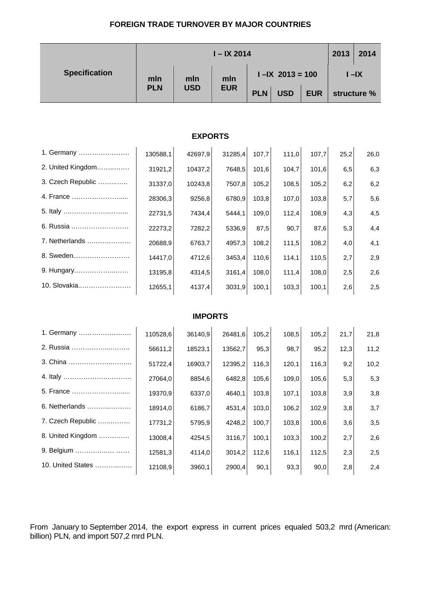### **FOREIGN TRADE TURNOVER BY MAJOR COUNTRIES**

|                      | $I - IX 2014$ |                |            |                     |            |            | 2013        | 2014 |  |
|----------------------|---------------|----------------|------------|---------------------|------------|------------|-------------|------|--|
| <b>Specification</b> | mln           | mln            | mln        | $I - IX$ 2013 = 100 |            |            | $I - IX$    |      |  |
|                      | <b>PLN</b>    | <b>USD</b>     | <b>EUR</b> | <b>PLN</b>          | <b>USD</b> | <b>EUR</b> | structure % |      |  |
|                      |               |                |            |                     |            |            |             |      |  |
|                      |               | <b>EXPORTS</b> |            |                     |            |            |             |      |  |
| 1. Germany           | 130588,1      | 42697,9        | 31285,4    | 107,7               | 111,0      | 107,7      | 25,2        | 26,0 |  |
| 2. United Kingdom    | 31921,2       | 10437,2        | 7648,5     | 101,6               | 104,7      | 101,6      | 6,5         | 6,3  |  |
| 3. Czech Republic    | 31337,0       | 10243,8        | 7507,8     | 105,2               | 108,5      | 105,2      | 6,2         | 6,2  |  |
| 4. France            | 28306,3       | 9256,8         | 6780,9     | 103,8               | 107,0      | 103,8      | 5,7         | 5,6  |  |
|                      | 22731,5       | 7434,4         | 5444,1     | 109,0               | 112,4      | 108,9      | 4,3         | 4,5  |  |
| 6. Russia            | 22273,2       | 7282,2         | 5336,9     | 87,5                | 90,7       | 87,6       | 5,3         | 4,4  |  |
| 7. Netherlands       | 20688,9       | 6763,7         | 4957,3     | 108,2               | 111,5      | 108,2      | 4,0         | 4,1  |  |
| 8. Sweden            | 14417,0       | 4712,6         | 3453,4     | 110,6               | 114,1      | 110,5      | 2,7         | 2,9  |  |
| 9. Hungary           | 13195,8       | 4314,5         | 3161,4     | 108,0               | 111,4      | 108,0      | 2,5         | 2,6  |  |
| 10. Slovakia         | 12655,1       | 4137,4         | 3031,9     | 100,1               | 103,3      | 100,1      | 2,6         | 2,5  |  |
| <b>IMPORTS</b>       |               |                |            |                     |            |            |             |      |  |
| 1. Germany           |               |                |            |                     |            |            |             |      |  |
| 2. Russia            | 110528,6      | 36140,9        | 26481,6    | 105,2               | 108,5      | 105,2      | 21,7        | 21,8 |  |
| 3. China             | 56611,2       | 18523,1        | 13562,7    | 95,3                | 98,7       | 95,2       | 12,3        | 11,2 |  |
|                      | 51722,4       | 16903,7        | 12395,2    | 116,3               | 120,1      | 116,3      | 9,2         | 10,2 |  |
| 5. France            | 27064,0       | 8854,6         | 6482,8     | 105,6               | 109,0      | 105,6      | 5,3         | 5,3  |  |
| 6. Netherlands       | 19370,9       | 6337,0         | 4640,1     | 103,8               | 107,1      | 103,8      | 3,9         | 3,8  |  |
| 7. Czech Republic    | 18914,0       | 6186,7         | 4531,4     | 103,0               | 106,2      | 102,9      | 3,8         | 3,7  |  |
| 8. United Kingdom    | 17731,2       | 5795,9         | 4248,2     | 100,7               | 103,8      | 100,6      | 3,6         | 3,5  |  |
| 9. Belgium           | 13008,4       | 4254,5         | 3116,7     | 100,1               | 103,3      | 100,2      | 2,7         | 2,6  |  |
| 10. United States    | 12581,3       | 4114,0         | 3014,2     | 112,6               | 116,1      | 112,5      | 2,3         | 2,5  |  |
|                      | 12108,9       | 3960,1         | 2900,4     | 90,1                | 93,3       | 90,0       | 2,8         | 2,4  |  |

From January to September 2014, the export express in current prices equaled 503,2 mrd (American: billion) PLN, and import 507,2 mrd PLN.